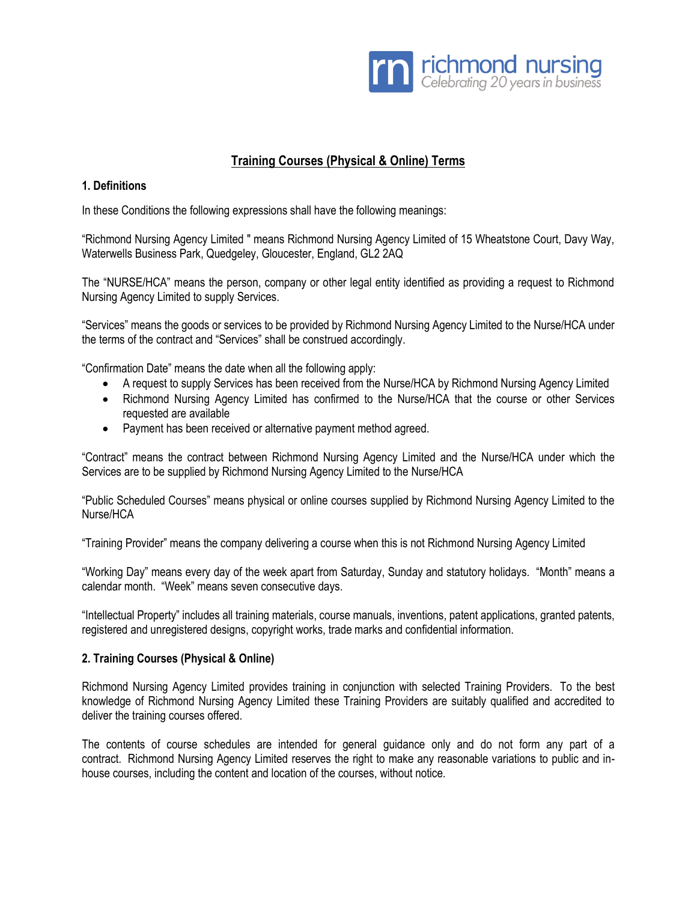

# **Training Courses (Physical & Online) Terms**

#### **1. Definitions**

In these Conditions the following expressions shall have the following meanings:

"Richmond Nursing Agency Limited " means Richmond Nursing Agency Limited of 15 Wheatstone Court, Davy Way, Waterwells Business Park, Quedgeley, Gloucester, England, GL2 2AQ

The "NURSE/HCA" means the person, company or other legal entity identified as providing a request to Richmond Nursing Agency Limited to supply Services.

"Services" means the goods or services to be provided by Richmond Nursing Agency Limited to the Nurse/HCA under the terms of the contract and "Services" shall be construed accordingly.

"Confirmation Date" means the date when all the following apply:

- A request to supply Services has been received from the Nurse/HCA by Richmond Nursing Agency Limited
- Richmond Nursing Agency Limited has confirmed to the Nurse/HCA that the course or other Services requested are available
- Payment has been received or alternative payment method agreed.

"Contract" means the contract between Richmond Nursing Agency Limited and the Nurse/HCA under which the Services are to be supplied by Richmond Nursing Agency Limited to the Nurse/HCA

"Public Scheduled Courses" means physical or online courses supplied by Richmond Nursing Agency Limited to the Nurse/HCA

"Training Provider" means the company delivering a course when this is not Richmond Nursing Agency Limited

"Working Day" means every day of the week apart from Saturday, Sunday and statutory holidays. "Month" means a calendar month. "Week" means seven consecutive days.

"Intellectual Property" includes all training materials, course manuals, inventions, patent applications, granted patents, registered and unregistered designs, copyright works, trade marks and confidential information.

### **2. Training Courses (Physical & Online)**

Richmond Nursing Agency Limited provides training in conjunction with selected Training Providers. To the best knowledge of Richmond Nursing Agency Limited these Training Providers are suitably qualified and accredited to deliver the training courses offered.

The contents of course schedules are intended for general guidance only and do not form any part of a contract. Richmond Nursing Agency Limited reserves the right to make any reasonable variations to public and inhouse courses, including the content and location of the courses, without notice.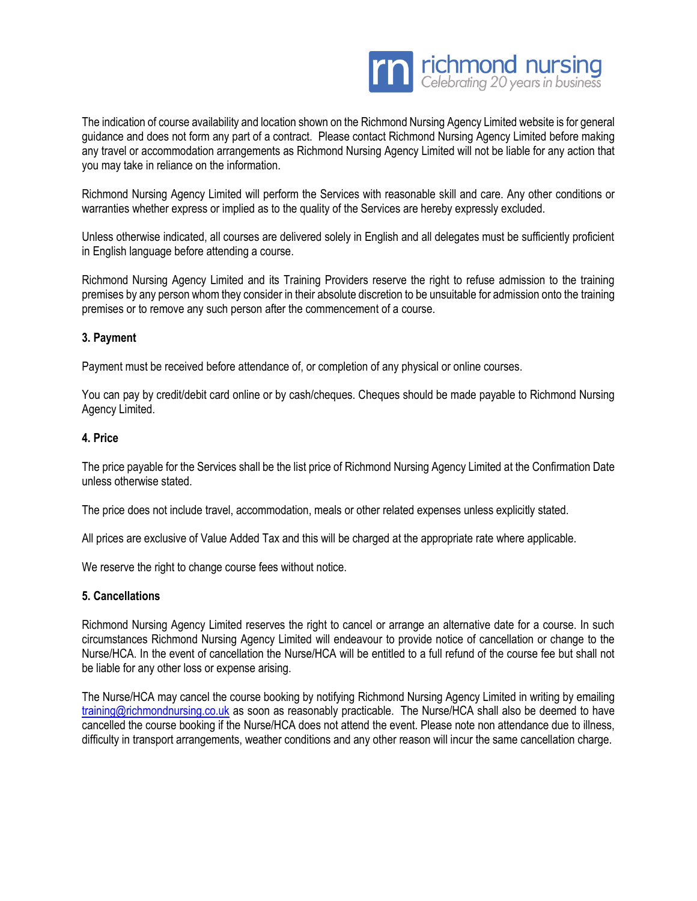

The indication of course availability and location shown on the Richmond Nursing Agency Limited website is for general guidance and does not form any part of a contract. Please contact Richmond Nursing Agency Limited before making any travel or accommodation arrangements as Richmond Nursing Agency Limited will not be liable for any action that you may take in reliance on the information.

Richmond Nursing Agency Limited will perform the Services with reasonable skill and care. Any other conditions or warranties whether express or implied as to the quality of the Services are hereby expressly excluded.

Unless otherwise indicated, all courses are delivered solely in English and all delegates must be sufficiently proficient in English language before attending a course.

Richmond Nursing Agency Limited and its Training Providers reserve the right to refuse admission to the training premises by any person whom they consider in their absolute discretion to be unsuitable for admission onto the training premises or to remove any such person after the commencement of a course.

### **3. Payment**

Payment must be received before attendance of, or completion of any physical or online courses.

You can pay by credit/debit card online or by cash/cheques. Cheques should be made payable to Richmond Nursing Agency Limited.

### **4. Price**

The price payable for the Services shall be the list price of Richmond Nursing Agency Limited at the Confirmation Date unless otherwise stated.

The price does not include travel, accommodation, meals or other related expenses unless explicitly stated.

All prices are exclusive of Value Added Tax and this will be charged at the appropriate rate where applicable.

We reserve the right to change course fees without notice.

### **5. Cancellations**

Richmond Nursing Agency Limited reserves the right to cancel or arrange an alternative date for a course. In such circumstances Richmond Nursing Agency Limited will endeavour to provide notice of cancellation or change to the Nurse/HCA. In the event of cancellation the Nurse/HCA will be entitled to a full refund of the course fee but shall not be liable for any other loss or expense arising.

The Nurse/HCA may cancel the course booking by notifying Richmond Nursing Agency Limited in writing by emailing [training@richmondnursing.co.uk](mailto:training@richmondnursing.co.uk) as soon as reasonably practicable. The Nurse/HCA shall also be deemed to have cancelled the course booking if the Nurse/HCA does not attend the event. Please note non attendance due to illness, difficulty in transport arrangements, weather conditions and any other reason will incur the same cancellation charge.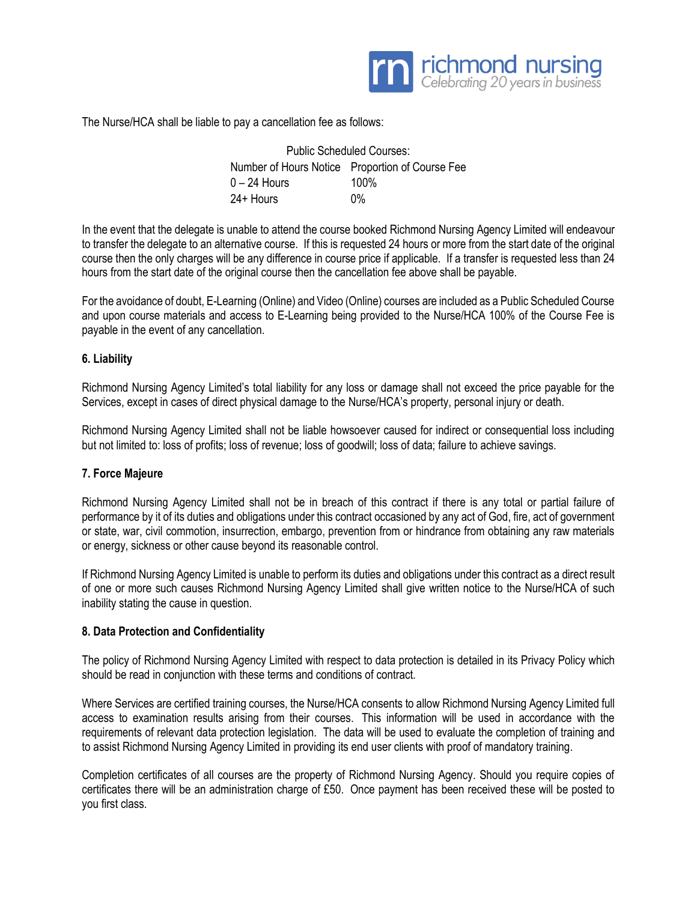

The Nurse/HCA shall be liable to pay a cancellation fee as follows:

| <b>Public Scheduled Courses:</b> |                                                 |
|----------------------------------|-------------------------------------------------|
|                                  | Number of Hours Notice Proportion of Course Fee |
| 0 – 24 Hours                     | $100\%$                                         |
| 24+ Hours                        | $0\%$                                           |

In the event that the delegate is unable to attend the course booked Richmond Nursing Agency Limited will endeavour to transfer the delegate to an alternative course. If this is requested 24 hours or more from the start date of the original course then the only charges will be any difference in course price if applicable. If a transfer is requested less than 24 hours from the start date of the original course then the cancellation fee above shall be payable.

For the avoidance of doubt, E-Learning (Online) and Video (Online) courses are included as a Public Scheduled Course and upon course materials and access to E-Learning being provided to the Nurse/HCA 100% of the Course Fee is payable in the event of any cancellation.

## **6. Liability**

Richmond Nursing Agency Limited's total liability for any loss or damage shall not exceed the price payable for the Services, except in cases of direct physical damage to the Nurse/HCA's property, personal injury or death.

Richmond Nursing Agency Limited shall not be liable howsoever caused for indirect or consequential loss including but not limited to: loss of profits; loss of revenue; loss of goodwill; loss of data; failure to achieve savings.

### **7. Force Majeure**

Richmond Nursing Agency Limited shall not be in breach of this contract if there is any total or partial failure of performance by it of its duties and obligations under this contract occasioned by any act of God, fire, act of government or state, war, civil commotion, insurrection, embargo, prevention from or hindrance from obtaining any raw materials or energy, sickness or other cause beyond its reasonable control.

If Richmond Nursing Agency Limited is unable to perform its duties and obligations under this contract as a direct result of one or more such causes Richmond Nursing Agency Limited shall give written notice to the Nurse/HCA of such inability stating the cause in question.

### **8. Data Protection and Confidentiality**

The policy of Richmond Nursing Agency Limited with respect to data protection is detailed in its Privacy Policy which should be read in conjunction with these terms and conditions of contract.

Where Services are certified training courses, the Nurse/HCA consents to allow Richmond Nursing Agency Limited full access to examination results arising from their courses. This information will be used in accordance with the requirements of relevant data protection legislation. The data will be used to evaluate the completion of training and to assist Richmond Nursing Agency Limited in providing its end user clients with proof of mandatory training.

Completion certificates of all courses are the property of Richmond Nursing Agency. Should you require copies of certificates there will be an administration charge of £50. Once payment has been received these will be posted to you first class.